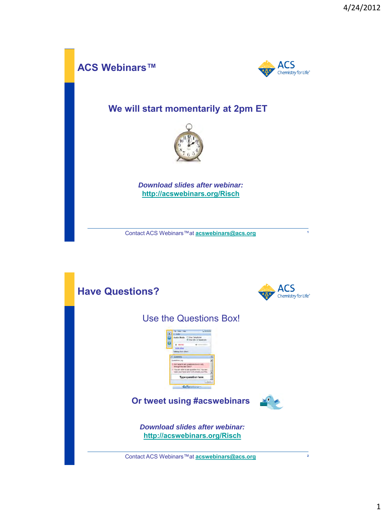

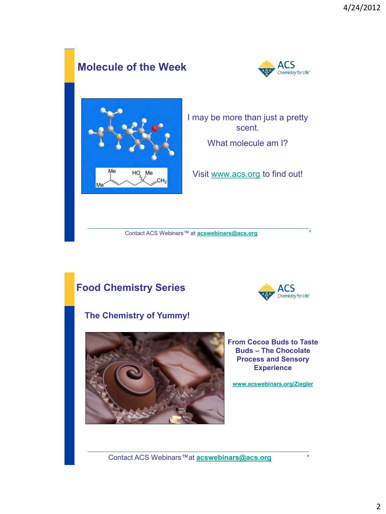

**<sup>3</sup>** Contact ACS Webinars™ at **[acswebinars@acs.org](mailto:acswebinars@acs.org)**

#### **Food Chemistry Series**

#### **The Chemistry of Yummy!**



**From Cocoa Buds to Taste Buds – The Chocolate Process and Sensory Experience**

**ACS** Chemistry for Life®

**[www.acswebinars.org/Ziegler](http://www.acswebinars.org/Chemical-Entrepreneurship-2012)**

**<sup>4</sup>** Contact ACS Webinars™at **[acswebinars@acs.org](mailto:acswebinars@acs.org)**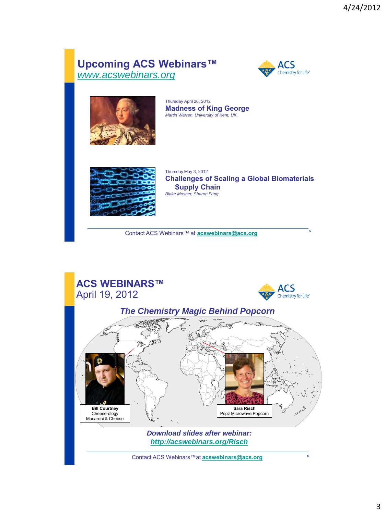#### **Upcoming ACS Webinars™** *[www.acswebinars.org](http://www.acswebinars.org/)*





Thursday April 26, 2012 **Madness of King George** *Martin Warren, University of Kent, UK.*



Thursday May 3, 2012 **Challenges of Scaling a Global Biomaterials Supply Chain** *Blake Mosher, Sharon Feng.*

**<sup>5</sup>** Contact ACS Webinars™ at **[acswebinars@acs.org](mailto:acswebinars@acs.org)**

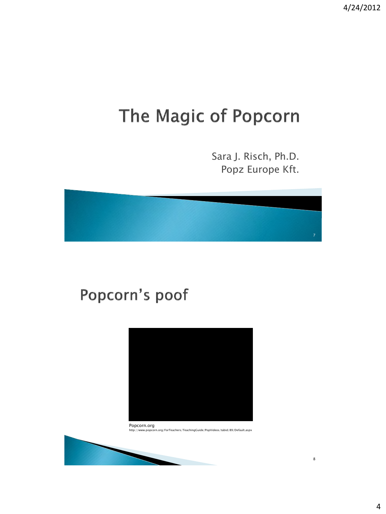4/24/2012

## The Magic of Popcorn

Sara J. Risch, Ph.D. Popz Europe Kft.

# 7

## Popcorn's poof



Popcorn.org http://www.popcorn.org/ForTeachers/TeachingGuide/PopVideos/tabid/89/Default.aspx

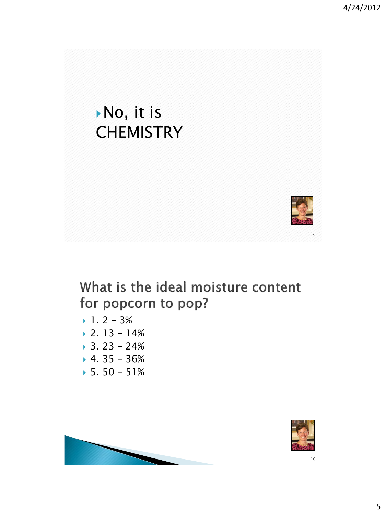4/24/2012

## No, it is **CHEMISTRY**



9

#### What is the ideal moisture content for popcorn to pop?

- $1.2 3%$
- $\blacktriangleright$  2. 13 14%
- $3.23 24%$
- $\sqrt{4.35 36\%}$
- $5.50 51%$



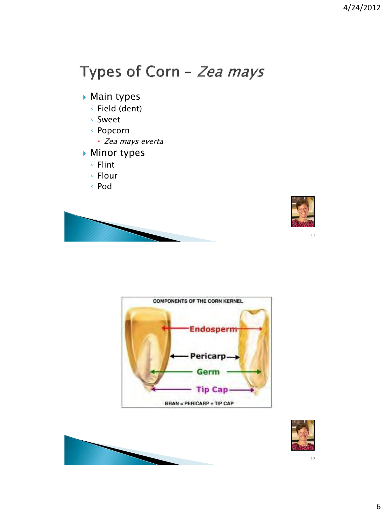#### Types of Corn - Zea mays

- Main types
	- Field (dent)
	- Sweet
	- Popcorn
		- Zea mays everta
- ▶ Minor types
	- Flint
	- Flour
	- Pod





11





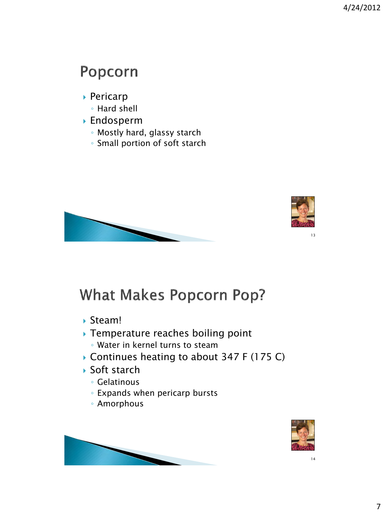#### Popcorn

- Pericarp
	- Hard shell
- Endosperm
	- Mostly hard, glassy starch
	- Small portion of soft starch





#### **What Makes Popcorn Pop?**

- Steam!
- ▶ Temperature reaches boiling point ◦ Water in kernel turns to steam
- ▶ Continues heating to about 347 F (175 C)
- ▶ Soft starch
	- Gelatinous
	- Expands when pericarp bursts
	- Amorphous



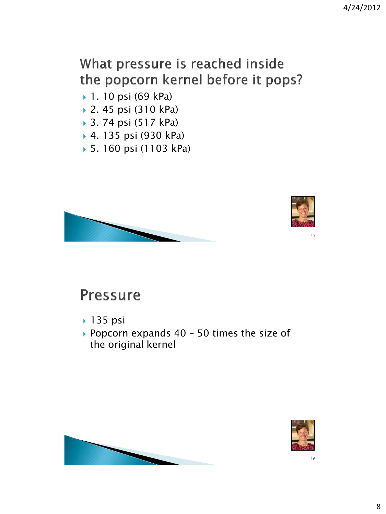#### What pressure is reached inside the popcorn kernel before it pops?

- 1. 10 psi (69 kPa)
- 2. 45 psi (310 kPa)
- 3. 74 psi (517 kPa)
- 4. 135 psi (930 kPa)
- 5. 160 psi (1103 kPa)





#### **Pressure**

- **135 psi**
- Popcorn expands 40 50 times the size of the original kernel



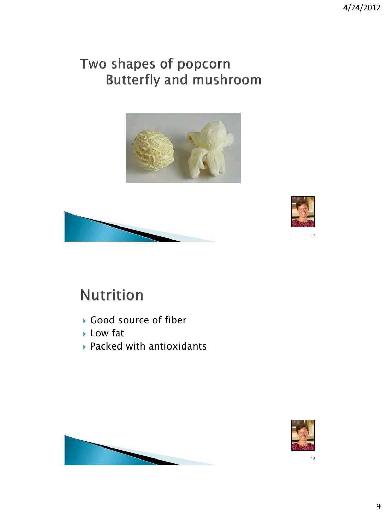#### Two shapes of popcorn **Butterfly and mushroom**







## **Nutrition**

- Good source of fiber
- Low fat
- Packed with antioxidants



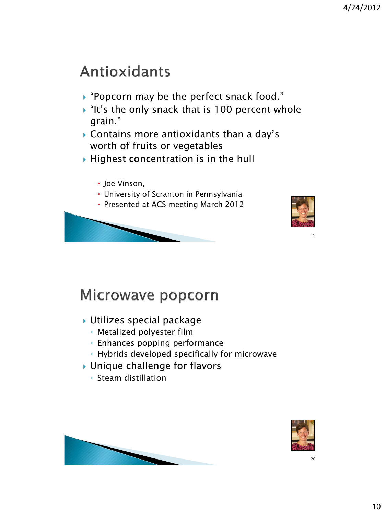#### **Antioxidants**

- ▶ "Popcorn may be the perfect snack food."
- $\cdot$  "It's the only snack that is 100 percent whole grain."
- Contains more antioxidants than a day's worth of fruits or vegetables
- $\blacktriangleright$  Highest concentration is in the hull
	- Joe Vinson,
	- University of Scranton in Pennsylvania
	- Presented at ACS meeting March 2012





19

#### Microwave popcorn

- Utilizes special package
	- Metalized polyester film
	- Enhances popping performance
	- Hybrids developed specifically for microwave
- ▶ Unique challenge for flavors
	- Steam distillation



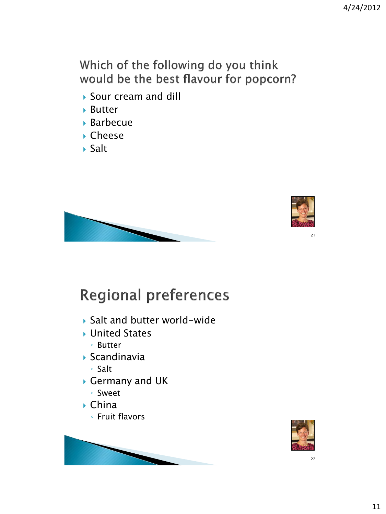Which of the following do you think would be the best flavour for popcorn?

- ▶ Sour cream and dill
- Butter
- Barbecue
- ▶ Cheese
- $\blacktriangleright$  Salt





## **Regional preferences**

- ▶ Salt and butter world-wide
- ▶ United States
	- Butter
- $\blacktriangleright$  Scandinavia
	- Salt
- Germany and UK
	- Sweet
- China
	- Fruit flavors



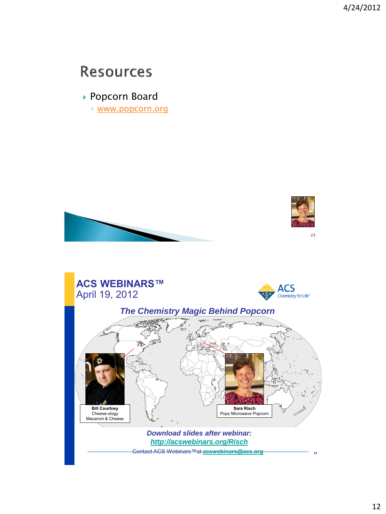4/24/2012

#### **Resources**

▶ Popcorn Board

◦ [www.popcorn.org](http://www.popcorn.org/)

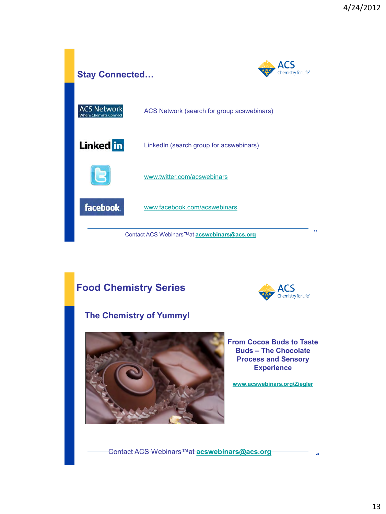